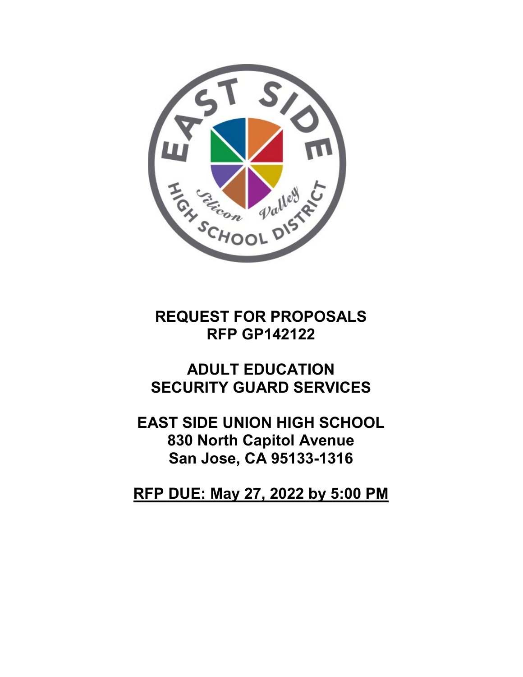

# **REQUEST FOR PROPOSALS RFP GP142122**

# **ADULT EDUCATION SECURITY GUARD SERVICES**

**EAST SIDE UNION HIGH SCHOOL 830 North Capitol Avenue San Jose, CA 95133-1316**

**RFP DUE: May 27, 2022 by 5:00 PM**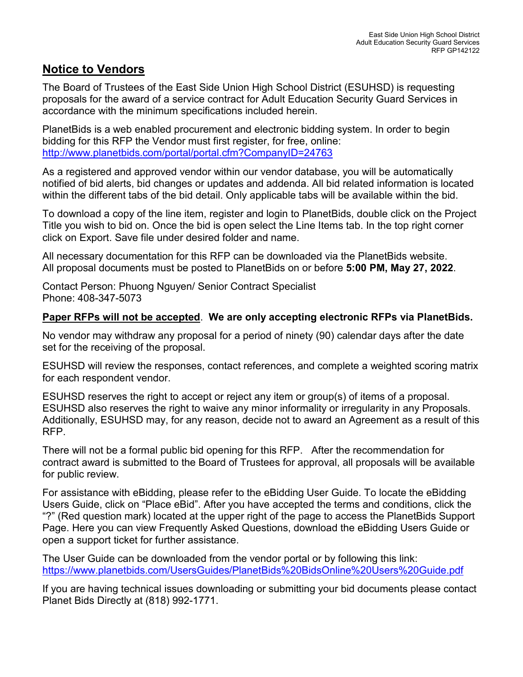#### **Notice to Vendors**

The Board of Trustees of the East Side Union High School District (ESUHSD) is requesting proposals for the award of a service contract for Adult Education Security Guard Services in accordance with the minimum specifications included herein.

PlanetBids is a web enabled procurement and electronic bidding system. In order to begin bidding for this RFP the Vendor must first register, for free, online: <http://www.planetbids.com/portal/portal.cfm?CompanyID=24763>

As a registered and approved vendor within our vendor database, you will be automatically notified of bid alerts, bid changes or updates and addenda. All bid related information is located within the different tabs of the bid detail. Only applicable tabs will be available within the bid.

To download a copy of the line item, register and login to PlanetBids, double click on the Project Title you wish to bid on. Once the bid is open select the Line Items tab. In the top right corner click on Export. Save file under desired folder and name.

All necessary documentation for this RFP can be downloaded via the PlanetBids website. All proposal documents must be posted to PlanetBids on or before **5:00 PM, May 27, 2022**.

Contact Person: Phuong Nguyen/ Senior Contract Specialist Phone: 408-347-5073

#### **Paper RFPs will not be accepted**. **We are only accepting electronic RFPs via PlanetBids.**

No vendor may withdraw any proposal for a period of ninety (90) calendar days after the date set for the receiving of the proposal.

ESUHSD will review the responses, contact references, and complete a weighted scoring matrix for each respondent vendor.

ESUHSD reserves the right to accept or reject any item or group(s) of items of a proposal. ESUHSD also reserves the right to waive any minor informality or irregularity in any Proposals. Additionally, ESUHSD may, for any reason, decide not to award an Agreement as a result of this RFP.

There will not be a formal public bid opening for this RFP. After the recommendation for contract award is submitted to the Board of Trustees for approval, all proposals will be available for public review.

For assistance with eBidding, please refer to the eBidding User Guide. To locate the eBidding Users Guide, click on "Place eBid". After you have accepted the terms and conditions, click the "?" (Red question mark) located at the upper right of the page to access the PlanetBids Support Page. Here you can view Frequently Asked Questions, download the eBidding Users Guide or open a support ticket for further assistance.

The User Guide can be downloaded from the vendor portal or by following this link: <https://www.planetbids.com/UsersGuides/PlanetBids%20BidsOnline%20Users%20Guide.pdf>

If you are having technical issues downloading or submitting your bid documents please contact Planet Bids Directly at (818) 992-1771.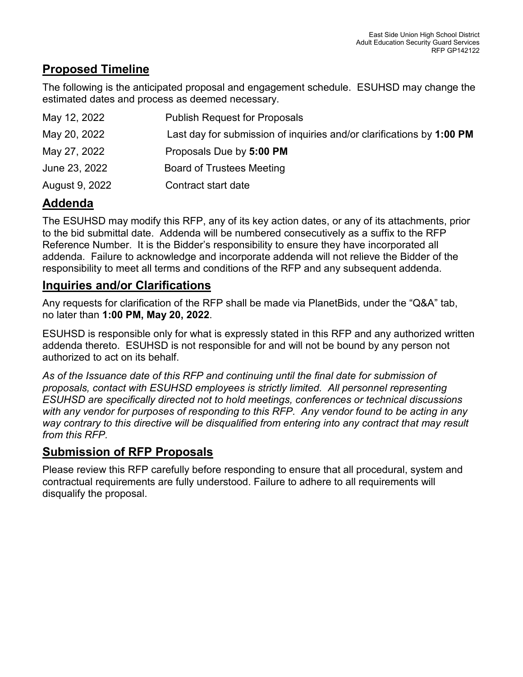# **Proposed Timeline**

The following is the anticipated proposal and engagement schedule. ESUHSD may change the estimated dates and process as deemed necessary.

| May 12, 2022   | <b>Publish Request for Proposals</b>                                  |
|----------------|-----------------------------------------------------------------------|
| May 20, 2022   | Last day for submission of inquiries and/or clarifications by 1:00 PM |
| May 27, 2022   | Proposals Due by 5:00 PM                                              |
| June 23, 2022  | <b>Board of Trustees Meeting</b>                                      |
| August 9, 2022 | Contract start date                                                   |

# **Addenda**

The ESUHSD may modify this RFP, any of its key action dates, or any of its attachments, prior to the bid submittal date. Addenda will be numbered consecutively as a suffix to the RFP Reference Number. It is the Bidder's responsibility to ensure they have incorporated all addenda. Failure to acknowledge and incorporate addenda will not relieve the Bidder of the responsibility to meet all terms and conditions of the RFP and any subsequent addenda.

### **Inquiries and/or Clarifications**

Any requests for clarification of the RFP shall be made via PlanetBids, under the "Q&A" tab, no later than **1:00 PM, May 20, 2022**.

ESUHSD is responsible only for what is expressly stated in this RFP and any authorized written addenda thereto. ESUHSD is not responsible for and will not be bound by any person not authorized to act on its behalf.

*As of the Issuance date of this RFP and continuing until the final date for submission of proposals, contact with ESUHSD employees is strictly limited. All personnel representing ESUHSD are specifically directed not to hold meetings, conferences or technical discussions with any vendor for purposes of responding to this RFP. Any vendor found to be acting in any way contrary to this directive will be disqualified from entering into any contract that may result from this RFP.* 

# **Submission of RFP Proposals**

Please review this RFP carefully before responding to ensure that all procedural, system and contractual requirements are fully understood. Failure to adhere to all requirements will disqualify the proposal.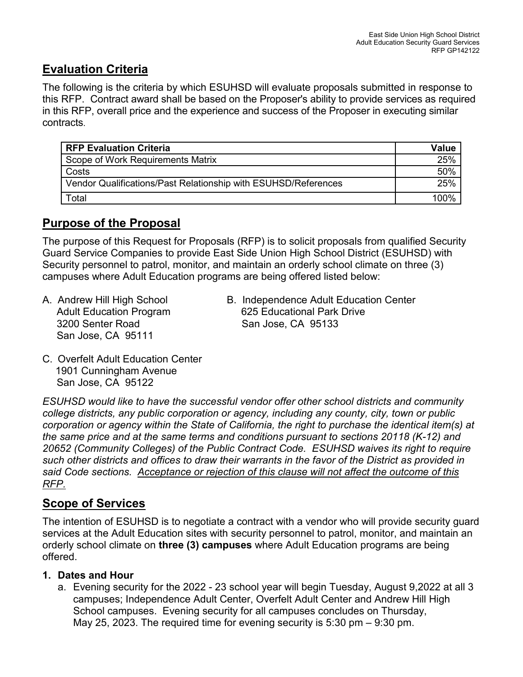# **Evaluation Criteria**

The following is the criteria by which ESUHSD will evaluate proposals submitted in response to this RFP. Contract award shall be based on the Proposer's ability to provide services as required in this RFP, overall price and the experience and success of the Proposer in executing similar contracts.

| <b>RFP Evaluation Criteria</b>                                 | Value |
|----------------------------------------------------------------|-------|
| Scope of Work Requirements Matrix                              | 25%   |
| Costs                                                          | 50%   |
| Vendor Qualifications/Past Relationship with ESUHSD/References | 25%   |
| Total                                                          | 1በበ%  |

#### **Purpose of the Proposal**

The purpose of this Request for Proposals (RFP) is to solicit proposals from qualified Security Guard Service Companies to provide East Side Union High School District (ESUHSD) with Security personnel to patrol, monitor, and maintain an orderly school climate on three (3) campuses where Adult Education programs are being offered listed below:

- 3200 Senter Road San Jose, CA 95133 San Jose, CA 95111
- A. Andrew Hill High School B. Independence Adult Education Center Adult Education Program 625 Educational Park Drive
- C. Overfelt Adult Education Center 1901 Cunningham Avenue San Jose, CA 95122

*ESUHSD would like to have the successful vendor offer other school districts and community college districts, any public corporation or agency, including any county, city, town or public corporation or agency within the State of California, the right to purchase the identical item(s) at the same price and at the same terms and conditions pursuant to sections 20118 (K-12) and 20652 (Community Colleges) of the Public Contract Code. ESUHSD waives its right to require such other districts and offices to draw their warrants in the favor of the District as provided in said Code sections. Acceptance or rejection of this clause will not affect the outcome of this RFP.* 

#### **Scope of Services**

The intention of ESUHSD is to negotiate a contract with a vendor who will provide security guard services at the Adult Education sites with security personnel to patrol, monitor, and maintain an orderly school climate on **three (3) campuses** where Adult Education programs are being offered.

#### **1. Dates and Hour**

a. Evening security for the 2022 - 23 school year will begin Tuesday, August 9,2022 at all 3 campuses; Independence Adult Center, Overfelt Adult Center and Andrew Hill High School campuses. Evening security for all campuses concludes on Thursday, May 25, 2023. The required time for evening security is 5:30 pm – 9:30 pm.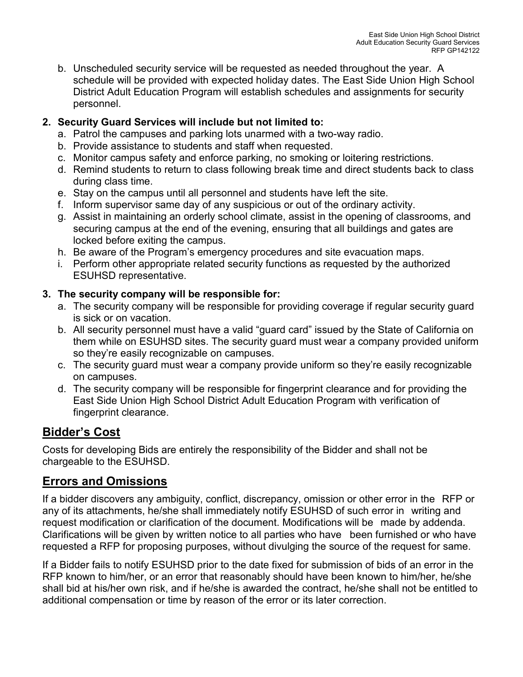b. Unscheduled security service will be requested as needed throughout the year. A schedule will be provided with expected holiday dates. The East Side Union High School District Adult Education Program will establish schedules and assignments for security personnel.

#### **2. Security Guard Services will include but not limited to:**

- a. Patrol the campuses and parking lots unarmed with a two-way radio.
- b. Provide assistance to students and staff when requested.
- c. Monitor campus safety and enforce parking, no smoking or loitering restrictions.
- d. Remind students to return to class following break time and direct students back to class during class time.
- e. Stay on the campus until all personnel and students have left the site.
- f. Inform supervisor same day of any suspicious or out of the ordinary activity.
- g. Assist in maintaining an orderly school climate, assist in the opening of classrooms, and securing campus at the end of the evening, ensuring that all buildings and gates are locked before exiting the campus.
- h. Be aware of the Program's emergency procedures and site evacuation maps.
- i. Perform other appropriate related security functions as requested by the authorized ESUHSD representative.

#### **3. The security company will be responsible for:**

- a. The security company will be responsible for providing coverage if regular security guard is sick or on vacation.
- b. All security personnel must have a valid "guard card" issued by the State of California on them while on ESUHSD sites. The security guard must wear a company provided uniform so they're easily recognizable on campuses.
- c. The security guard must wear a company provide uniform so they're easily recognizable on campuses.
- d. The security company will be responsible for fingerprint clearance and for providing the East Side Union High School District Adult Education Program with verification of fingerprint clearance.

### **Bidder's Cost**

Costs for developing Bids are entirely the responsibility of the Bidder and shall not be chargeable to the ESUHSD.

### **Errors and Omissions**

If a bidder discovers any ambiguity, conflict, discrepancy, omission or other error in the RFP or any of its attachments, he/she shall immediately notify ESUHSD of such error in writing and request modification or clarification of the document. Modifications will be made by addenda. Clarifications will be given by written notice to all parties who have been furnished or who have requested a RFP for proposing purposes, without divulging the source of the request for same.

If a Bidder fails to notify ESUHSD prior to the date fixed for submission of bids of an error in the RFP known to him/her, or an error that reasonably should have been known to him/her, he/she shall bid at his/her own risk, and if he/she is awarded the contract, he/she shall not be entitled to additional compensation or time by reason of the error or its later correction.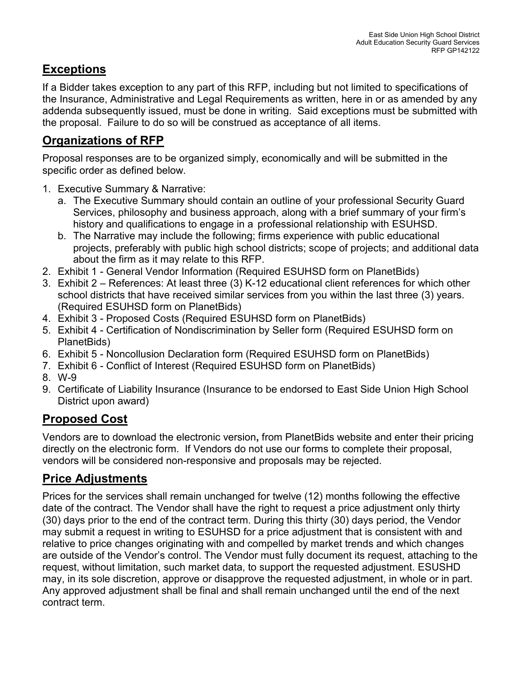# **Exceptions**

If a Bidder takes exception to any part of this RFP, including but not limited to specifications of the Insurance, Administrative and Legal Requirements as written, here in or as amended by any addenda subsequently issued, must be done in writing. Said exceptions must be submitted with the proposal. Failure to do so will be construed as acceptance of all items.

# **Organizations of RFP**

Proposal responses are to be organized simply, economically and will be submitted in the specific order as defined below.

- 1. Executive Summary & Narrative:
	- a. The Executive Summary should contain an outline of your professional Security Guard Services, philosophy and business approach, along with a brief summary of your firm's history and qualifications to engage in a professional relationship with ESUHSD.
	- b. The Narrative may include the following; firms experience with public educational projects, preferably with public high school districts; scope of projects; and additional data about the firm as it may relate to this RFP.
- 2. Exhibit 1 General Vendor Information (Required ESUHSD form on PlanetBids)
- 3. Exhibit 2 References: At least three (3) K-12 educational client references for which other school districts that have received similar services from you within the last three (3) years. (Required ESUHSD form on PlanetBids)
- 4. Exhibit 3 Proposed Costs (Required ESUHSD form on PlanetBids)
- 5. Exhibit 4 Certification of Nondiscrimination by Seller form (Required ESUHSD form on PlanetBids)
- 6. Exhibit 5 Noncollusion Declaration form (Required ESUHSD form on PlanetBids)
- 7. Exhibit 6 Conflict of Interest (Required ESUHSD form on PlanetBids)
- 8. W-9
- 9. Certificate of Liability Insurance (Insurance to be endorsed to East Side Union High School District upon award)

# **Proposed Cost**

Vendors are to download the electronic version**,** from PlanetBids website and enter their pricing directly on the electronic form. If Vendors do not use our forms to complete their proposal, vendors will be considered non-responsive and proposals may be rejected.

### **Price Adjustments**

Prices for the services shall remain unchanged for twelve (12) months following the effective date of the contract. The Vendor shall have the right to request a price adjustment only thirty (30) days prior to the end of the contract term. During this thirty (30) days period, the Vendor may submit a request in writing to ESUHSD for a price adjustment that is consistent with and relative to price changes originating with and compelled by market trends and which changes are outside of the Vendor's control. The Vendor must fully document its request, attaching to the request, without limitation, such market data, to support the requested adjustment. ESUSHD may, in its sole discretion, approve or disapprove the requested adjustment, in whole or in part. Any approved adjustment shall be final and shall remain unchanged until the end of the next contract term.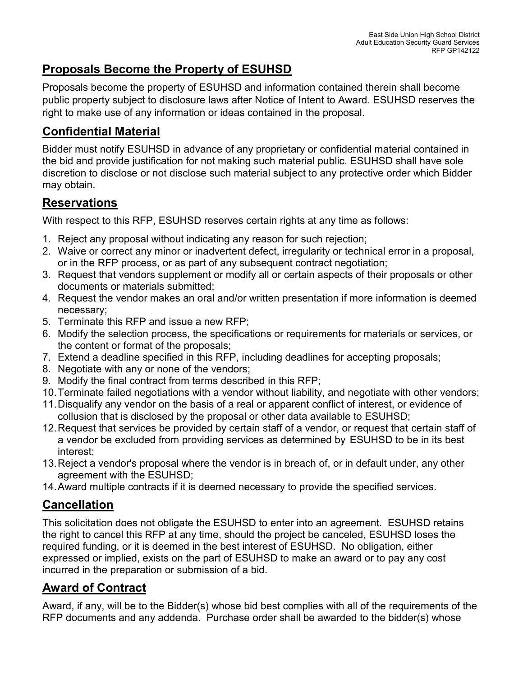# **Proposals Become the Property of ESUHSD**

Proposals become the property of ESUHSD and information contained therein shall become public property subject to disclosure laws after Notice of Intent to Award. ESUHSD reserves the right to make use of any information or ideas contained in the proposal.

# **Confidential Material**

Bidder must notify ESUHSD in advance of any proprietary or confidential material contained in the bid and provide justification for not making such material public. ESUHSD shall have sole discretion to disclose or not disclose such material subject to any protective order which Bidder may obtain.

# **Reservations**

With respect to this RFP, ESUHSD reserves certain rights at any time as follows:

- 1. Reject any proposal without indicating any reason for such rejection;
- 2. Waive or correct any minor or inadvertent defect, irregularity or technical error in a proposal, or in the RFP process, or as part of any subsequent contract negotiation;
- 3. Request that vendors supplement or modify all or certain aspects of their proposals or other documents or materials submitted;
- 4. Request the vendor makes an oral and/or written presentation if more information is deemed necessary;
- 5. Terminate this RFP and issue a new RFP;
- 6. Modify the selection process, the specifications or requirements for materials or services, or the content or format of the proposals;
- 7. Extend a deadline specified in this RFP, including deadlines for accepting proposals;
- 8. Negotiate with any or none of the vendors;
- 9. Modify the final contract from terms described in this RFP;
- 10.Terminate failed negotiations with a vendor without liability, and negotiate with other vendors;
- 11.Disqualify any vendor on the basis of a real or apparent conflict of interest, or evidence of collusion that is disclosed by the proposal or other data available to ESUHSD;
- 12.Request that services be provided by certain staff of a vendor, or request that certain staff of a vendor be excluded from providing services as determined by ESUHSD to be in its best interest;
- 13.Reject a vendor's proposal where the vendor is in breach of, or in default under, any other agreement with the ESUHSD;
- 14.Award multiple contracts if it is deemed necessary to provide the specified services.

# **Cancellation**

This solicitation does not obligate the ESUHSD to enter into an agreement. ESUHSD retains the right to cancel this RFP at any time, should the project be canceled, ESUHSD loses the required funding, or it is deemed in the best interest of ESUHSD. No obligation, either expressed or implied, exists on the part of ESUHSD to make an award or to pay any cost incurred in the preparation or submission of a bid.

# **Award of Contract**

Award, if any, will be to the Bidder(s) whose bid best complies with all of the requirements of the RFP documents and any addenda. Purchase order shall be awarded to the bidder(s) whose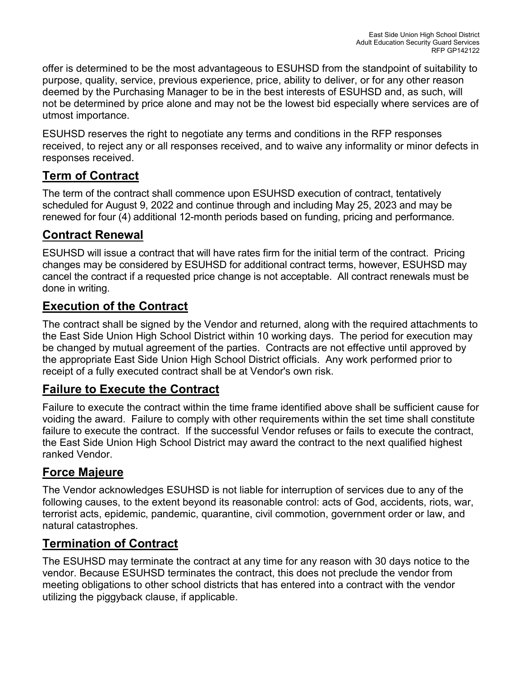offer is determined to be the most advantageous to ESUHSD from the standpoint of suitability to purpose, quality, service, previous experience, price, ability to deliver, or for any other reason deemed by the Purchasing Manager to be in the best interests of ESUHSD and, as such, will not be determined by price alone and may not be the lowest bid especially where services are of utmost importance.

ESUHSD reserves the right to negotiate any terms and conditions in the RFP responses received, to reject any or all responses received, and to waive any informality or minor defects in responses received.

# **Term of Contract**

The term of the contract shall commence upon ESUHSD execution of contract, tentatively scheduled for August 9, 2022 and continue through and including May 25, 2023 and may be renewed for four (4) additional 12-month periods based on funding, pricing and performance.

### **Contract Renewal**

ESUHSD will issue a contract that will have rates firm for the initial term of the contract. Pricing changes may be considered by ESUHSD for additional contract terms, however, ESUHSD may cancel the contract if a requested price change is not acceptable. All contract renewals must be done in writing.

### **Execution of the Contract**

The contract shall be signed by the Vendor and returned, along with the required attachments to the East Side Union High School District within 10 working days. The period for execution may be changed by mutual agreement of the parties. Contracts are not effective until approved by the appropriate East Side Union High School District officials. Any work performed prior to receipt of a fully executed contract shall be at Vendor's own risk.

#### **Failure to Execute the Contract**

Failure to execute the contract within the time frame identified above shall be sufficient cause for voiding the award. Failure to comply with other requirements within the set time shall constitute failure to execute the contract. If the successful Vendor refuses or fails to execute the contract, the East Side Union High School District may award the contract to the next qualified highest ranked Vendor.

### **Force Majeure**

The Vendor acknowledges ESUHSD is not liable for interruption of services due to any of the following causes, to the extent beyond its reasonable control: acts of God, accidents, riots, war, terrorist acts, epidemic, pandemic, quarantine, civil commotion, government order or law, and natural catastrophes.

### **Termination of Contract**

The ESUHSD may terminate the contract at any time for any reason with 30 days notice to the vendor. Because ESUHSD terminates the contract, this does not preclude the vendor from meeting obligations to other school districts that has entered into a contract with the vendor utilizing the piggyback clause, if applicable.